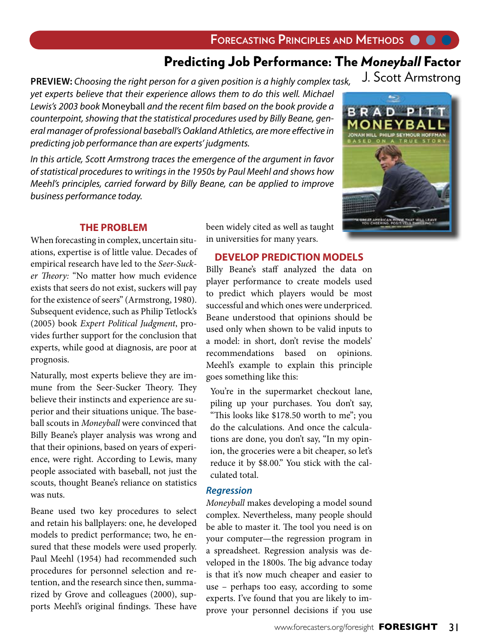## Predicting Job Performance: The *Moneyball* Factor

J. Scott Armstrong **PREVIEW:** *Choosing the right person for a given position is a highly complex task, yet experts believe that their experience allows them to do this well. Michael Lewis's 2003 book* Moneyball *and the recent film based on the book provide a counterpoint, showing that the statistical procedures used by Billy Beane, general manager of professional baseball's Oakland Athletics, are more effective in predicting job performance than are experts' judgments.* 

*In this article, Scott Armstrong traces the emergence of the argument in favor of statistical procedures to writings in the 1950s by Paul Meehl and shows how Meehl's principles, carried forward by Billy Beane, can be applied to improve business performance today.*

> been widely cited as well as taught in universities for many years.

## **THE PROBLEM**

When forecasting in complex, uncertain situations, expertise is of little value. Decades of empirical research have led to the *Seer-Sucker Theory:* "No matter how much evidence exists that seers do not exist, suckers will pay for the existence of seers" (Armstrong, 1980). Subsequent evidence, such as Philip Tetlock's (2005) book *Expert Political Judgment*, provides further support for the conclusion that experts, while good at diagnosis, are poor at prognosis.

Naturally, most experts believe they are immune from the Seer-Sucker Theory. They believe their instincts and experience are superior and their situations unique. The baseball scouts in *Moneyball* were convinced that Billy Beane's player analysis was wrong and that their opinions, based on years of experience, were right. According to Lewis, many people associated with baseball, not just the scouts, thought Beane's reliance on statistics was nuts.

Beane used two key procedures to select and retain his ballplayers: one, he developed models to predict performance; two, he ensured that these models were used properly. Paul Meehl (1954) had recommended such procedures for personnel selection and retention, and the research since then, summarized by Grove and colleagues (2000), supports Meehl's original findings. These have

#### **DEVELOP PREDICTION MODELS**

Billy Beane's staff analyzed the data on player performance to create models used to predict which players would be most successful and which ones were underpriced. Beane understood that opinions should be used only when shown to be valid inputs to a model: in short, don't revise the models' recommendations based on opinions. Meehl's example to explain this principle goes something like this:

 You're in the supermarket checkout lane, piling up your purchases. You don't say, "This looks like \$178.50 worth to me"; you do the calculations. And once the calculations are done, you don't say, "In my opinion, the groceries were a bit cheaper, so let's reduce it by \$8.00." You stick with the calculated total.

### *Regression*

*Moneyball* makes developing a model sound complex. Nevertheless, many people should be able to master it. The tool you need is on your computer—the regression program in a spreadsheet. Regression analysis was developed in the 1800s. The big advance today is that it's now much cheaper and easier to use – perhaps too easy, according to some experts. I've found that you are likely to improve your personnel decisions if you use

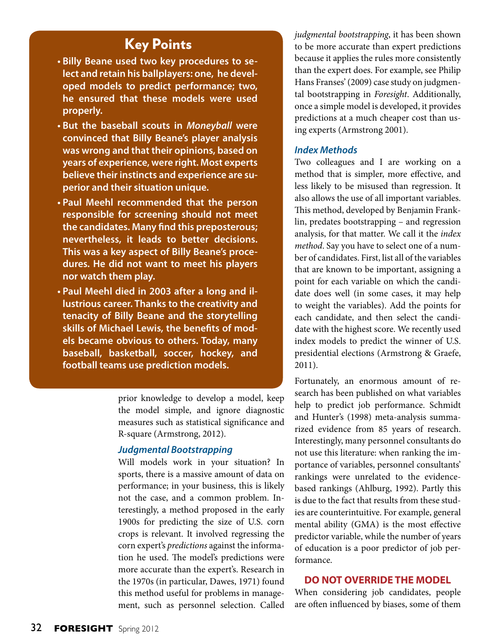# Key Points

- **Billy Beane used two key procedures to select and retain his ballplayers: one, he developed models to predict performance; two, he ensured that these models were used properly.**
- **But the baseball scouts in** *Moneyball* **were convinced that Billy Beane's player analysis was wrong and that their opinions, based on years of experience, were right. Most experts believe their instincts and experience are superior and their situation unique.**
- **Paul Meehl recommended that the person responsible for screening should not meet the candidates. Many find this preposterous; nevertheless, it leads to better decisions. This was a key aspect of Billy Beane's procedures. He did not want to meet his players nor watch them play.**
- **Paul Meehl died in 2003 after a long and illustrious career. Thanks to the creativity and tenacity of Billy Beane and the storytelling skills of Michael Lewis, the benefits of models became obvious to others. Today, many baseball, basketball, soccer, hockey, and football teams use prediction models.**

prior knowledge to develop a model, keep the model simple, and ignore diagnostic measures such as statistical significance and R-square (Armstrong, 2012).

#### *Judgmental Bootstrapping*

Will models work in your situation? In sports, there is a massive amount of data on performance; in your business, this is likely not the case, and a common problem. Interestingly, a method proposed in the early 1900s for predicting the size of U.S. corn crops is relevant. It involved regressing the corn expert's *predictions* against the information he used. The model's predictions were more accurate than the expert's. Research in the 1970s (in particular, Dawes, 1971) found this method useful for problems in management, such as personnel selection. Called

*judgmental bootstrapping*, it has been shown to be more accurate than expert predictions because it applies the rules more consistently than the expert does. For example, see Philip Hans Franses' (2009) case study on judgmental bootstrapping in *Foresight*. Additionally, once a simple model is developed, it provides predictions at a much cheaper cost than using experts (Armstrong 2001).

#### *Index Methods*

Two colleagues and I are working on a method that is simpler, more effective, and less likely to be misused than regression. It also allows the use of all important variables. This method, developed by Benjamin Franklin, predates bootstrapping – and regression analysis, for that matter. We call it the *index method*. Say you have to select one of a number of candidates. First, list all of the variables that are known to be important, assigning a point for each variable on which the candidate does well (in some cases, it may help to weight the variables). Add the points for each candidate, and then select the candidate with the highest score. We recently used index models to predict the winner of U.S. presidential elections (Armstrong & Graefe, 2011).

Fortunately, an enormous amount of research has been published on what variables help to predict job performance. Schmidt and Hunter's (1998) meta-analysis summarized evidence from 85 years of research. Interestingly, many personnel consultants do not use this literature: when ranking the importance of variables, personnel consultants' rankings were unrelated to the evidencebased rankings (Ahlburg, 1992). Partly this is due to the fact that results from these studies are counterintuitive. For example, general mental ability (GMA) is the most effective predictor variable, while the number of years of education is a poor predictor of job performance.

#### **DO NOT OVERRIDE THE MODEL**

When considering job candidates, people are often influenced by biases, some of them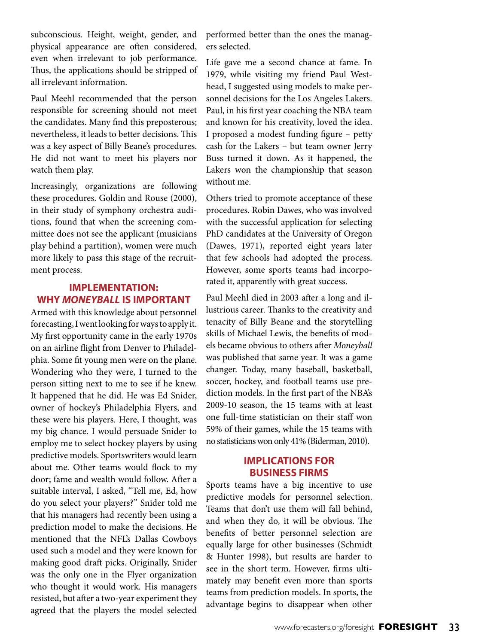subconscious. Height, weight, gender, and physical appearance are often considered, even when irrelevant to job performance. Thus, the applications should be stripped of all irrelevant information.

Paul Meehl recommended that the person responsible for screening should not meet the candidates. Many find this preposterous; nevertheless, it leads to better decisions. This was a key aspect of Billy Beane's procedures. He did not want to meet his players nor watch them play.

Increasingly, organizations are following these procedures. Goldin and Rouse (2000), in their study of symphony orchestra auditions, found that when the screening committee does not see the applicant (musicians play behind a partition), women were much more likely to pass this stage of the recruitment process.

## **IMPLEMENTATION: WHY** *MONEYBALL* **IS IMPORTANT**

Armed with this knowledge about personnel forecasting, I went looking for ways to apply it. My first opportunity came in the early 1970s on an airline flight from Denver to Philadelphia. Some fit young men were on the plane. Wondering who they were, I turned to the person sitting next to me to see if he knew. It happened that he did. He was Ed Snider, owner of hockey's Philadelphia Flyers, and these were his players. Here, I thought, was my big chance. I would persuade Snider to employ me to select hockey players by using predictive models. Sportswriters would learn about me. Other teams would flock to my door; fame and wealth would follow. After a suitable interval, I asked, "Tell me, Ed, how do you select your players?" Snider told me that his managers had recently been using a prediction model to make the decisions. He mentioned that the NFL's Dallas Cowboys used such a model and they were known for making good draft picks. Originally, Snider was the only one in the Flyer organization who thought it would work. His managers resisted, but after a two-year experiment they agreed that the players the model selected performed better than the ones the managers selected.

Life gave me a second chance at fame. In 1979, while visiting my friend Paul Westhead, I suggested using models to make personnel decisions for the Los Angeles Lakers. Paul, in his first year coaching the NBA team and known for his creativity, loved the idea. I proposed a modest funding figure – petty cash for the Lakers – but team owner Jerry Buss turned it down. As it happened, the Lakers won the championship that season without me.

Others tried to promote acceptance of these procedures. Robin Dawes, who was involved with the successful application for selecting PhD candidates at the University of Oregon (Dawes, 1971), reported eight years later that few schools had adopted the process. However, some sports teams had incorporated it, apparently with great success.

Paul Meehl died in 2003 after a long and illustrious career. Thanks to the creativity and tenacity of Billy Beane and the storytelling skills of Michael Lewis, the benefits of models became obvious to others after *Moneyball* was published that same year. It was a game changer. Today, many baseball, basketball, soccer, hockey, and football teams use prediction models. In the first part of the NBA's 2009-10 season, the 15 teams with at least one full-time statistician on their staff won 59% of their games, while the 15 teams with no statisticians won only 41% (Biderman, 2010).

## **IMPLICATIONS FOR BUSINESS FIRMS**

Sports teams have a big incentive to use predictive models for personnel selection. Teams that don't use them will fall behind, and when they do, it will be obvious. The benefits of better personnel selection are equally large for other businesses (Schmidt & Hunter 1998), but results are harder to see in the short term. However, firms ultimately may benefit even more than sports teams from prediction models. In sports, the advantage begins to disappear when other